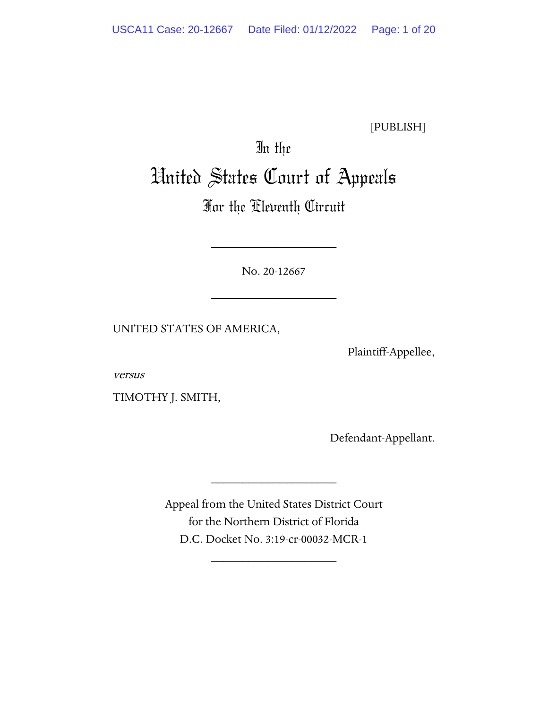[PUBLISH]

# In the United States Court of Appeals

# For the Eleventh Circuit

No. 20-12667

\_\_\_\_\_\_\_\_\_\_\_\_\_\_\_\_\_\_\_\_

\_\_\_\_\_\_\_\_\_\_\_\_\_\_\_\_\_\_\_\_

UNITED STATES OF AMERICA,

Plaintiff-Appellee,

versus

TIMOTHY J. SMITH,

Defendant-Appellant.

Appeal from the United States District Court for the Northern District of Florida D.C. Docket No. 3:19-cr-00032-MCR-1

\_\_\_\_\_\_\_\_\_\_\_\_\_\_\_\_\_\_\_\_

\_\_\_\_\_\_\_\_\_\_\_\_\_\_\_\_\_\_\_\_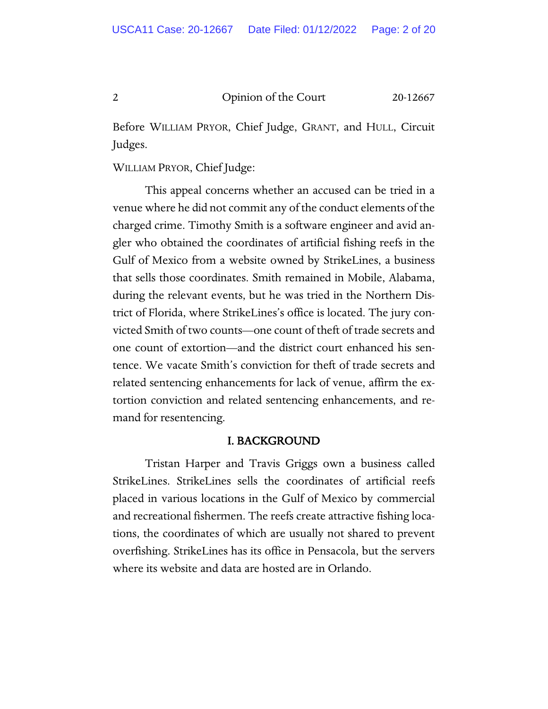Before WILLIAM PRYOR, Chief Judge, GRANT, and HULL, Circuit Judges.

WILLIAM PRYOR, Chief Judge:

This appeal concerns whether an accused can be tried in a venue where he did not commit any of the conduct elements of the charged crime. Timothy Smith is a software engineer and avid angler who obtained the coordinates of artificial fishing reefs in the Gulf of Mexico from a website owned by StrikeLines, a business that sells those coordinates. Smith remained in Mobile, Alabama, during the relevant events, but he was tried in the Northern District of Florida, where StrikeLines's office is located. The jury convicted Smith of two counts—one count of theft of trade secrets and one count of extortion—and the district court enhanced his sentence. We vacate Smith's conviction for theft of trade secrets and related sentencing enhancements for lack of venue, affirm the extortion conviction and related sentencing enhancements, and remand for resentencing.

#### I. BACKGROUND

Tristan Harper and Travis Griggs own a business called StrikeLines. StrikeLines sells the coordinates of artificial reefs placed in various locations in the Gulf of Mexico by commercial and recreational fishermen. The reefs create attractive fishing locations, the coordinates of which are usually not shared to prevent overfishing. StrikeLines has its office in Pensacola, but the servers where its website and data are hosted are in Orlando.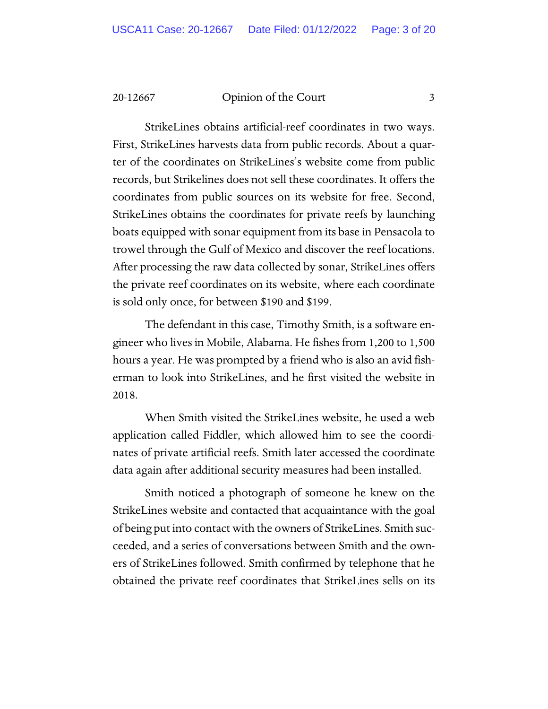StrikeLines obtains artificial-reef coordinates in two ways. First, StrikeLines harvests data from public records. About a quarter of the coordinates on StrikeLines's website come from public records, but Strikelines does not sell these coordinates. It offers the coordinates from public sources on its website for free. Second, StrikeLines obtains the coordinates for private reefs by launching boats equipped with sonar equipment from its base in Pensacola to trowel through the Gulf of Mexico and discover the reef locations. After processing the raw data collected by sonar, StrikeLines offers the private reef coordinates on its website, where each coordinate is sold only once, for between \$190 and \$199.

The defendant in this case, Timothy Smith, is a software engineer who lives in Mobile, Alabama. He fishes from 1,200 to 1,500 hours a year. He was prompted by a friend who is also an avid fisherman to look into StrikeLines, and he first visited the website in 2018.

When Smith visited the StrikeLines website, he used a web application called Fiddler, which allowed him to see the coordinates of private artificial reefs. Smith later accessed the coordinate data again after additional security measures had been installed.

Smith noticed a photograph of someone he knew on the StrikeLines website and contacted that acquaintance with the goal of being put into contact with the owners of StrikeLines. Smith succeeded, and a series of conversations between Smith and the owners of StrikeLines followed. Smith confirmed by telephone that he obtained the private reef coordinates that StrikeLines sells on its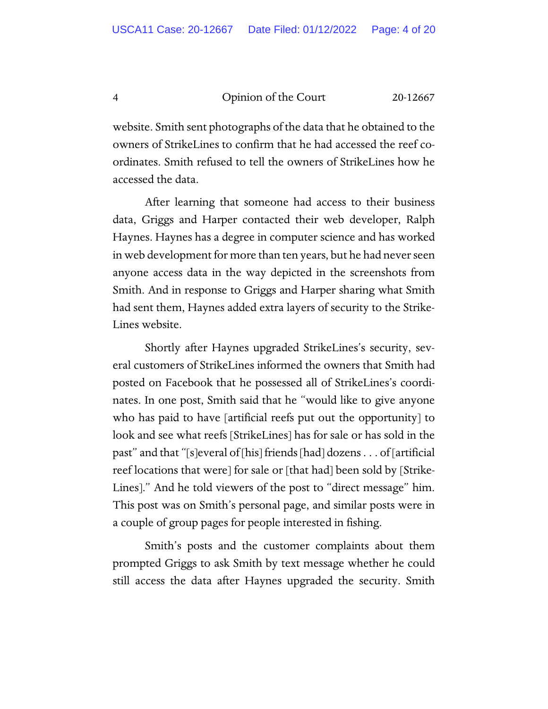website. Smith sent photographs of the data that he obtained to the owners of StrikeLines to confirm that he had accessed the reef coordinates. Smith refused to tell the owners of StrikeLines how he accessed the data.

 After learning that someone had access to their business data, Griggs and Harper contacted their web developer, Ralph Haynes. Haynes has a degree in computer science and has worked in web development for more than ten years, but he had never seen anyone access data in the way depicted in the screenshots from Smith. And in response to Griggs and Harper sharing what Smith had sent them, Haynes added extra layers of security to the Strike-Lines website.

Shortly after Haynes upgraded StrikeLines's security, several customers of StrikeLines informed the owners that Smith had posted on Facebook that he possessed all of StrikeLines's coordinates. In one post, Smith said that he "would like to give anyone who has paid to have [artificial reefs put out the opportunity] to look and see what reefs [StrikeLines] has for sale or has sold in the past" and that "[s]everal of [his] friends [had] dozens . . . of [artificial reef locations that were] for sale or [that had] been sold by [Strike-Lines]." And he told viewers of the post to "direct message" him. This post was on Smith's personal page, and similar posts were in a couple of group pages for people interested in fishing.

 Smith's posts and the customer complaints about them prompted Griggs to ask Smith by text message whether he could still access the data after Haynes upgraded the security. Smith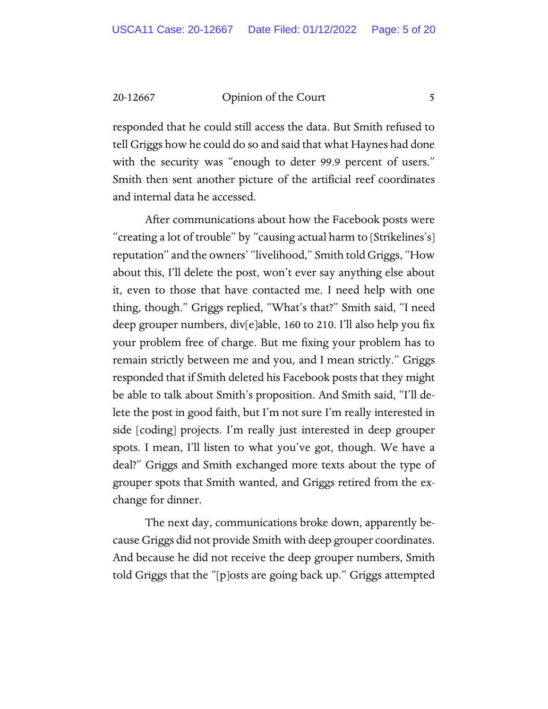responded that he could still access the data. But Smith refused to tell Griggs how he could do so and said that what Haynes had done with the security was "enough to deter 99.9 percent of users." Smith then sent another picture of the artificial reef coordinates and internal data he accessed.

 After communications about how the Facebook posts were "creating a lot of trouble" by "causing actual harm to [Strikelines's] reputation" and the owners' "livelihood," Smith told Griggs, "How about this, I'll delete the post, won't ever say anything else about it, even to those that have contacted me. I need help with one thing, though." Griggs replied, "What's that?" Smith said, "I need deep grouper numbers, div[e]able, 160 to 210. I'll also help you fix your problem free of charge. But me fixing your problem has to remain strictly between me and you, and I mean strictly." Griggs responded that if Smith deleted his Facebook posts that they might be able to talk about Smith's proposition. And Smith said, "I'll delete the post in good faith, but I'm not sure I'm really interested in side [coding] projects. I'm really just interested in deep grouper spots. I mean, I'll listen to what you've got, though. We have a deal?" Griggs and Smith exchanged more texts about the type of grouper spots that Smith wanted, and Griggs retired from the exchange for dinner.

 The next day, communications broke down, apparently because Griggs did not provide Smith with deep grouper coordinates. And because he did not receive the deep grouper numbers, Smith told Griggs that the "[p]osts are going back up." Griggs attempted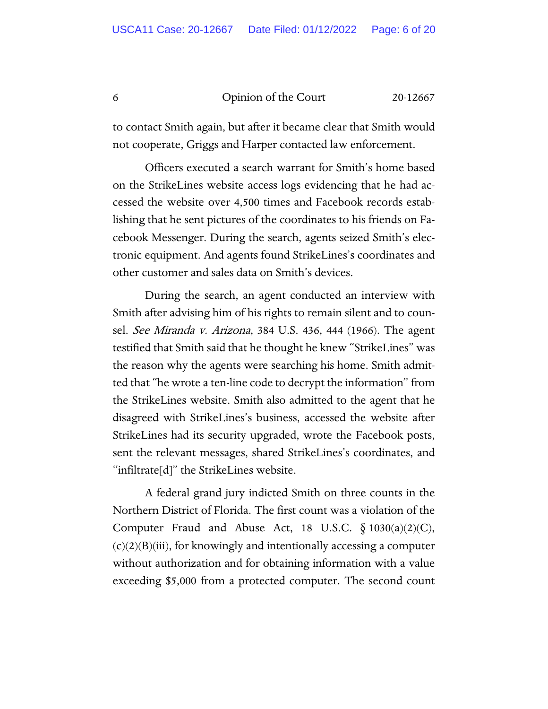to contact Smith again, but after it became clear that Smith would not cooperate, Griggs and Harper contacted law enforcement.

Officers executed a search warrant for Smith's home based on the StrikeLines website access logs evidencing that he had accessed the website over 4,500 times and Facebook records establishing that he sent pictures of the coordinates to his friends on Facebook Messenger. During the search, agents seized Smith's electronic equipment. And agents found StrikeLines's coordinates and other customer and sales data on Smith's devices.

During the search, an agent conducted an interview with Smith after advising him of his rights to remain silent and to counsel. See Miranda v. Arizona, 384 U.S. 436, 444 (1966). The agent testified that Smith said that he thought he knew "StrikeLines" was the reason why the agents were searching his home. Smith admitted that "he wrote a ten-line code to decrypt the information" from the StrikeLines website. Smith also admitted to the agent that he disagreed with StrikeLines's business, accessed the website after StrikeLines had its security upgraded, wrote the Facebook posts, sent the relevant messages, shared StrikeLines's coordinates, and "infiltrate[d]" the StrikeLines website.

 A federal grand jury indicted Smith on three counts in the Northern District of Florida. The first count was a violation of the Computer Fraud and Abuse Act, 18 U.S.C.  $\S$  1030(a)(2)(C),  $(c)(2)(B)(iii)$ , for knowingly and intentionally accessing a computer without authorization and for obtaining information with a value exceeding \$5,000 from a protected computer. The second count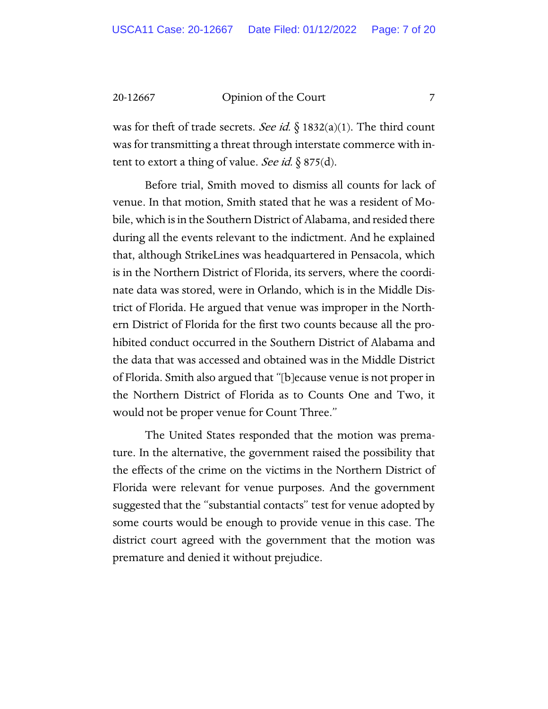was for theft of trade secrets. See id.  $\S$  1832(a)(1). The third count was for transmitting a threat through interstate commerce with intent to extort a thing of value. See id.  $\S 875(d)$ .

Before trial, Smith moved to dismiss all counts for lack of venue. In that motion, Smith stated that he was a resident of Mobile, which is in the Southern District of Alabama, and resided there during all the events relevant to the indictment. And he explained that, although StrikeLines was headquartered in Pensacola, which is in the Northern District of Florida, its servers, where the coordinate data was stored, were in Orlando, which is in the Middle District of Florida. He argued that venue was improper in the Northern District of Florida for the first two counts because all the prohibited conduct occurred in the Southern District of Alabama and the data that was accessed and obtained was in the Middle District of Florida. Smith also argued that "[b]ecause venue is not proper in the Northern District of Florida as to Counts One and Two, it would not be proper venue for Count Three."

 The United States responded that the motion was premature. In the alternative, the government raised the possibility that the effects of the crime on the victims in the Northern District of Florida were relevant for venue purposes. And the government suggested that the "substantial contacts" test for venue adopted by some courts would be enough to provide venue in this case. The district court agreed with the government that the motion was premature and denied it without prejudice.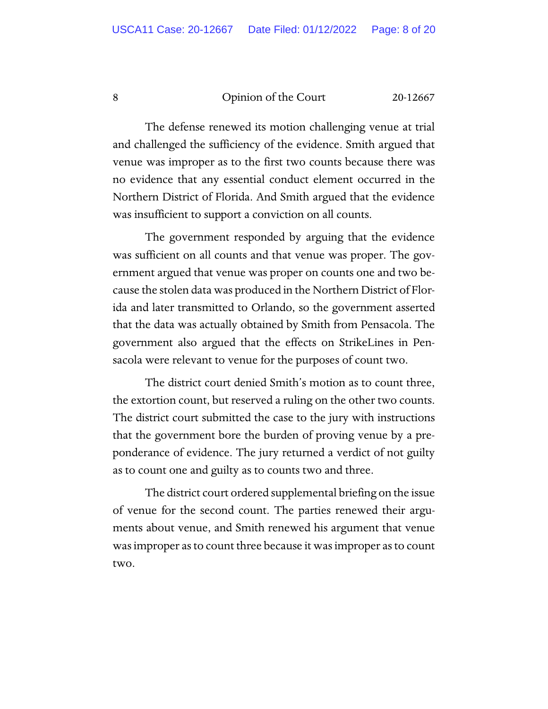The defense renewed its motion challenging venue at trial and challenged the sufficiency of the evidence. Smith argued that venue was improper as to the first two counts because there was no evidence that any essential conduct element occurred in the Northern District of Florida. And Smith argued that the evidence was insufficient to support a conviction on all counts.

The government responded by arguing that the evidence was sufficient on all counts and that venue was proper. The government argued that venue was proper on counts one and two because the stolen data was produced in the Northern District of Florida and later transmitted to Orlando, so the government asserted that the data was actually obtained by Smith from Pensacola. The government also argued that the effects on StrikeLines in Pensacola were relevant to venue for the purposes of count two.

The district court denied Smith's motion as to count three, the extortion count, but reserved a ruling on the other two counts. The district court submitted the case to the jury with instructions that the government bore the burden of proving venue by a preponderance of evidence. The jury returned a verdict of not guilty as to count one and guilty as to counts two and three.

The district court ordered supplemental briefing on the issue of venue for the second count. The parties renewed their arguments about venue, and Smith renewed his argument that venue was improper as to count three because it was improper as to count two.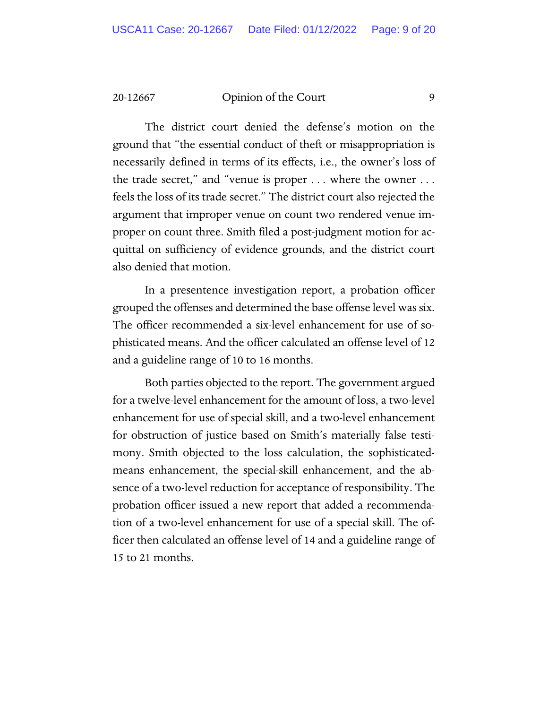The district court denied the defense's motion on the ground that "the essential conduct of theft or misappropriation is necessarily defined in terms of its effects, i.e., the owner's loss of the trade secret," and "venue is proper . . . where the owner . . . feels the loss of its trade secret." The district court also rejected the argument that improper venue on count two rendered venue improper on count three. Smith filed a post-judgment motion for acquittal on sufficiency of evidence grounds, and the district court also denied that motion.

In a presentence investigation report, a probation officer grouped the offenses and determined the base offense level was six. The officer recommended a six-level enhancement for use of sophisticated means. And the officer calculated an offense level of 12 and a guideline range of 10 to 16 months.

Both parties objected to the report. The government argued for a twelve-level enhancement for the amount of loss, a two-level enhancement for use of special skill, and a two-level enhancement for obstruction of justice based on Smith's materially false testimony. Smith objected to the loss calculation, the sophisticatedmeans enhancement, the special-skill enhancement, and the absence of a two-level reduction for acceptance of responsibility. The probation officer issued a new report that added a recommendation of a two-level enhancement for use of a special skill. The officer then calculated an offense level of 14 and a guideline range of 15 to 21 months.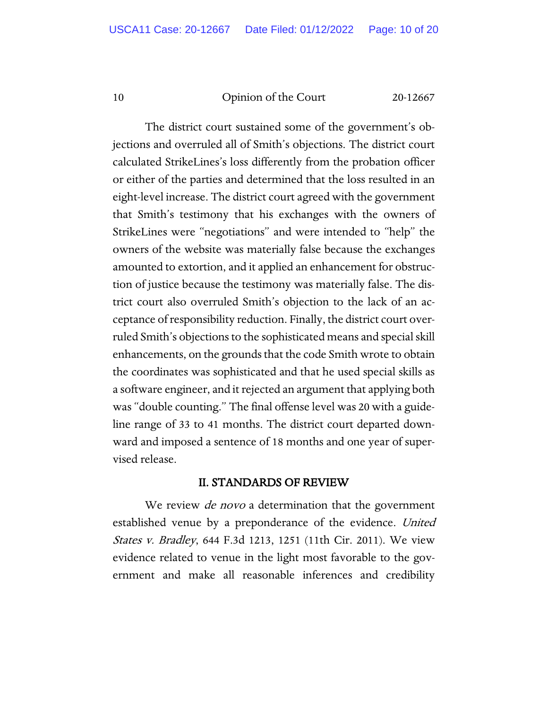The district court sustained some of the government's objections and overruled all of Smith's objections. The district court calculated StrikeLines's loss differently from the probation officer or either of the parties and determined that the loss resulted in an eight-level increase. The district court agreed with the government that Smith's testimony that his exchanges with the owners of StrikeLines were "negotiations" and were intended to "help" the owners of the website was materially false because the exchanges amounted to extortion, and it applied an enhancement for obstruction of justice because the testimony was materially false. The district court also overruled Smith's objection to the lack of an acceptance of responsibility reduction. Finally, the district court overruled Smith's objections to the sophisticated means and special skill enhancements, on the grounds that the code Smith wrote to obtain the coordinates was sophisticated and that he used special skills as a software engineer, and it rejected an argument that applying both was "double counting." The final offense level was 20 with a guideline range of 33 to 41 months. The district court departed downward and imposed a sentence of 18 months and one year of supervised release.

#### II. STANDARDS OF REVIEW

We review *de novo* a determination that the government established venue by a preponderance of the evidence. United States v. Bradley, 644 F.3d 1213, 1251 (11th Cir. 2011). We view evidence related to venue in the light most favorable to the government and make all reasonable inferences and credibility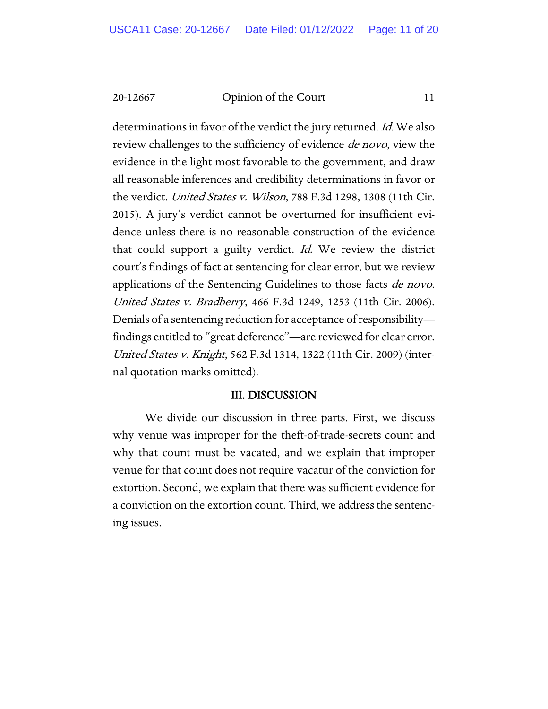determinations in favor of the verdict the jury returned. Id. We also review challenges to the sufficiency of evidence *de novo*, view the evidence in the light most favorable to the government, and draw all reasonable inferences and credibility determinations in favor or the verdict. United States v. Wilson, 788 F.3d 1298, 1308 (11th Cir. 2015). A jury's verdict cannot be overturned for insufficient evidence unless there is no reasonable construction of the evidence that could support a guilty verdict. Id. We review the district court's findings of fact at sentencing for clear error, but we review applications of the Sentencing Guidelines to those facts *de novo*. United States v. Bradberry, 466 F.3d 1249, 1253 (11th Cir. 2006). Denials of a sentencing reduction for acceptance of responsibility findings entitled to "great deference"—are reviewed for clear error. United States v. Knight, 562 F.3d 1314, 1322 (11th Cir. 2009) (internal quotation marks omitted).

#### III. DISCUSSION

We divide our discussion in three parts. First, we discuss why venue was improper for the theft-of-trade-secrets count and why that count must be vacated, and we explain that improper venue for that count does not require vacatur of the conviction for extortion. Second, we explain that there was sufficient evidence for a conviction on the extortion count. Third, we address the sentencing issues.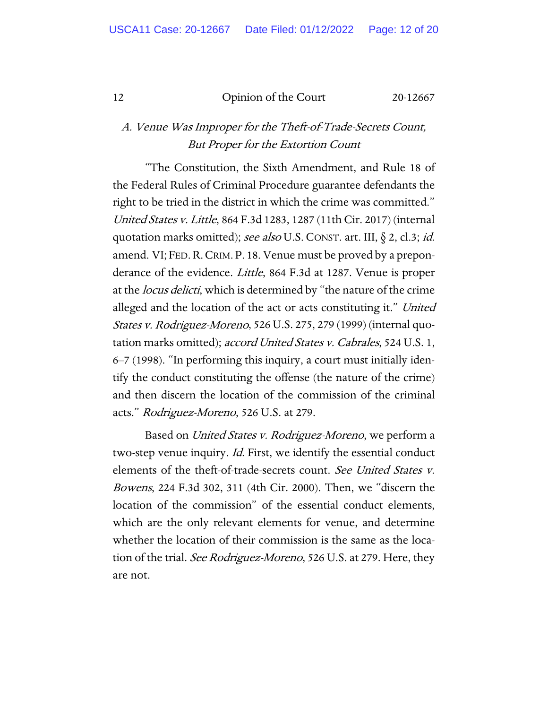### A. Venue Was Improper for the Theft-of-Trade-Secrets Count, But Proper for the Extortion Count

"The Constitution, the Sixth Amendment, and Rule 18 of the Federal Rules of Criminal Procedure guarantee defendants the right to be tried in the district in which the crime was committed." United States v. Little, 864 F.3d 1283, 1287 (11th Cir. 2017) (internal quotation marks omitted); see also U.S. CONST. art. III, § 2, cl.3; id. amend. VI; FED. R. CRIM. P. 18. Venue must be proved by a preponderance of the evidence. Little, 864 F.3d at 1287. Venue is proper at the *locus delicti*, which is determined by "the nature of the crime alleged and the location of the act or acts constituting it." United States v. Rodriguez-Moreno, 526 U.S. 275, 279 (1999) (internal quotation marks omitted); accord United States v. Cabrales, 524 U.S. 1, 6–7 (1998). "In performing this inquiry, a court must initially identify the conduct constituting the offense (the nature of the crime) and then discern the location of the commission of the criminal acts." Rodriguez-Moreno, 526 U.S. at 279.

Based on United States v. Rodriguez-Moreno, we perform a two-step venue inquiry. Id. First, we identify the essential conduct elements of the theft-of-trade-secrets count. See United States v. Bowens, 224 F.3d 302, 311 (4th Cir. 2000). Then, we "discern the location of the commission" of the essential conduct elements, which are the only relevant elements for venue, and determine whether the location of their commission is the same as the location of the trial. See Rodriguez-Moreno, 526 U.S. at 279. Here, they are not.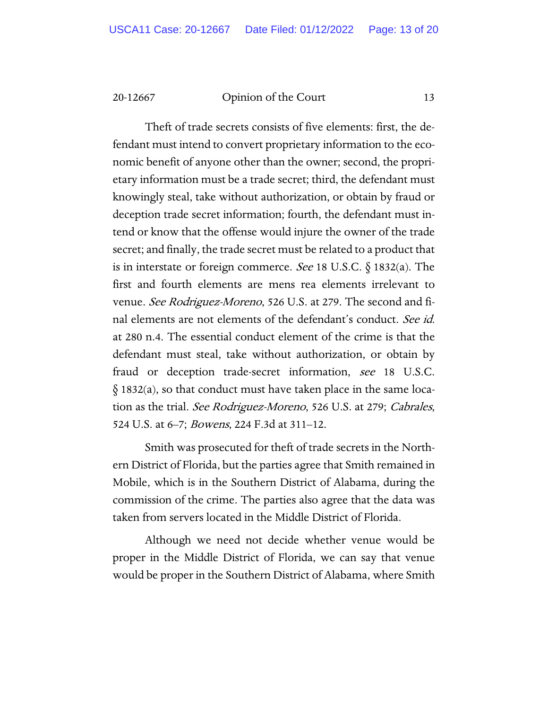Theft of trade secrets consists of five elements: first, the defendant must intend to convert proprietary information to the economic benefit of anyone other than the owner; second, the proprietary information must be a trade secret; third, the defendant must knowingly steal, take without authorization, or obtain by fraud or deception trade secret information; fourth, the defendant must intend or know that the offense would injure the owner of the trade secret; and finally, the trade secret must be related to a product that is in interstate or foreign commerce. See 18 U.S.C.  $\S$  1832(a). The first and fourth elements are mens rea elements irrelevant to venue. See Rodriguez-Moreno, 526 U.S. at 279. The second and final elements are not elements of the defendant's conduct. See id. at 280 n.4. The essential conduct element of the crime is that the defendant must steal, take without authorization, or obtain by fraud or deception trade-secret information, see 18 U.S.C. § 1832(a), so that conduct must have taken place in the same location as the trial. See Rodriguez-Moreno, 526 U.S. at 279; Cabrales, 524 U.S. at 6–7; *Bowens*, 224 F.3d at 311–12.

Smith was prosecuted for theft of trade secrets in the Northern District of Florida, but the parties agree that Smith remained in Mobile, which is in the Southern District of Alabama, during the commission of the crime. The parties also agree that the data was taken from servers located in the Middle District of Florida.

Although we need not decide whether venue would be proper in the Middle District of Florida, we can say that venue would be proper in the Southern District of Alabama, where Smith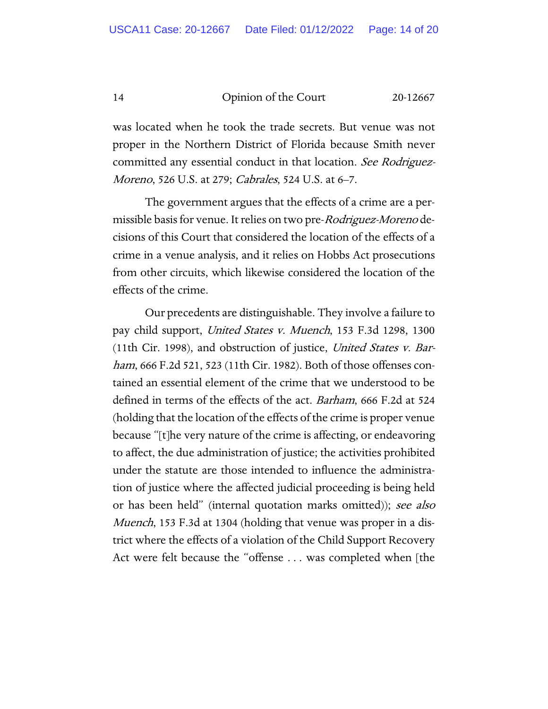was located when he took the trade secrets. But venue was not proper in the Northern District of Florida because Smith never committed any essential conduct in that location. See Rodriguez-Moreno, 526 U.S. at 279; *Cabrales*, 524 U.S. at 6–7.

The government argues that the effects of a crime are a permissible basis for venue. It relies on two pre-*Rodriguez-Moreno* decisions of this Court that considered the location of the effects of a crime in a venue analysis, and it relies on Hobbs Act prosecutions from other circuits, which likewise considered the location of the effects of the crime.

Our precedents are distinguishable. They involve a failure to pay child support, United States v. Muench, 153 F.3d 1298, 1300 (11th Cir. 1998), and obstruction of justice, United States v. Barham, 666 F.2d 521, 523 (11th Cir. 1982). Both of those offenses contained an essential element of the crime that we understood to be defined in terms of the effects of the act. Barham, 666 F.2d at 524 (holding that the location of the effects of the crime is proper venue because "[t]he very nature of the crime is affecting, or endeavoring to affect, the due administration of justice; the activities prohibited under the statute are those intended to influence the administration of justice where the affected judicial proceeding is being held or has been held" (internal quotation marks omitted)); see also Muench, 153 F.3d at 1304 (holding that venue was proper in a district where the effects of a violation of the Child Support Recovery Act were felt because the "offense . . . was completed when [the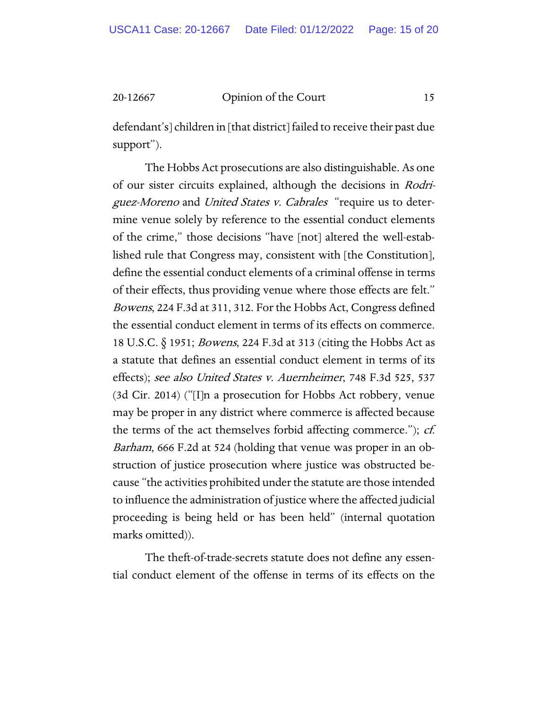defendant's] children in [that district] failed to receive their past due support").

The Hobbs Act prosecutions are also distinguishable. As one of our sister circuits explained, although the decisions in Rodriguez-Moreno and United States v. Cabrales "require us to determine venue solely by reference to the essential conduct elements of the crime," those decisions "have [not] altered the well-established rule that Congress may, consistent with [the Constitution], define the essential conduct elements of a criminal offense in terms of their effects, thus providing venue where those effects are felt." Bowens, 224 F.3d at 311, 312. For the Hobbs Act, Congress defined the essential conduct element in terms of its effects on commerce. 18 U.S.C. § 1951; Bowens, 224 F.3d at 313 (citing the Hobbs Act as a statute that defines an essential conduct element in terms of its effects); see also United States v. Auernheimer, 748 F.3d 525, 537 (3d Cir. 2014) ("[I]n a prosecution for Hobbs Act robbery, venue may be proper in any district where commerce is affected because the terms of the act themselves forbid affecting commerce.");  $cf.$ Barham, 666 F.2d at 524 (holding that venue was proper in an obstruction of justice prosecution where justice was obstructed because "the activities prohibited under the statute are those intended to influence the administration of justice where the affected judicial proceeding is being held or has been held" (internal quotation marks omitted)).

The theft-of-trade-secrets statute does not define any essential conduct element of the offense in terms of its effects on the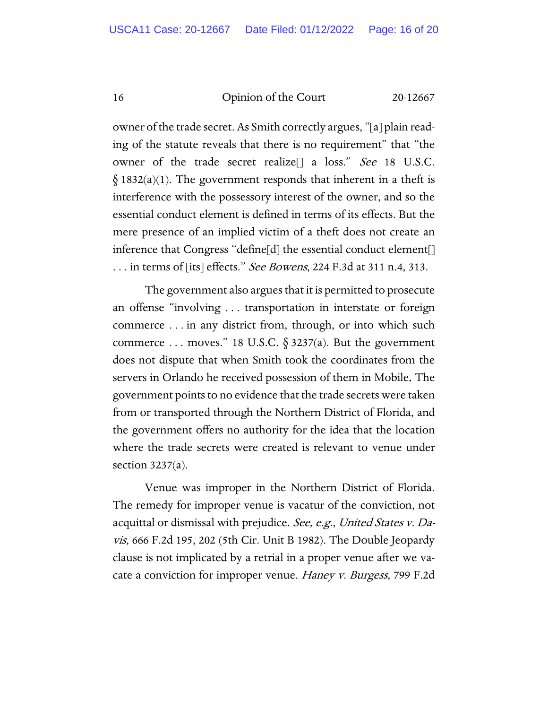owner of the trade secret. As Smith correctly argues, "[a] plain reading of the statute reveals that there is no requirement" that "the owner of the trade secret realize[] a loss." See 18 U.S.C.  $§$  1832(a)(1). The government responds that inherent in a theft is interference with the possessory interest of the owner, and so the essential conduct element is defined in terms of its effects. But the mere presence of an implied victim of a theft does not create an inference that Congress "define[d] the essential conduct element[] ... in terms of [its] effects." See Bowens, 224 F.3d at 311 n.4, 313.

The government also argues that it is permitted to prosecute an offense "involving . . . transportation in interstate or foreign commerce . . . in any district from, through, or into which such commerce ... moves." 18 U.S.C.  $\S$  3237(a). But the government does not dispute that when Smith took the coordinates from the servers in Orlando he received possession of them in Mobile. The government points to no evidence that the trade secrets were taken from or transported through the Northern District of Florida, and the government offers no authority for the idea that the location where the trade secrets were created is relevant to venue under section 3237(a).

Venue was improper in the Northern District of Florida. The remedy for improper venue is vacatur of the conviction, not acquittal or dismissal with prejudice. See, e.g., United States v. Davis, 666 F.2d 195, 202 (5th Cir. Unit B 1982). The Double Jeopardy clause is not implicated by a retrial in a proper venue after we vacate a conviction for improper venue. Haney v. Burgess, 799 F.2d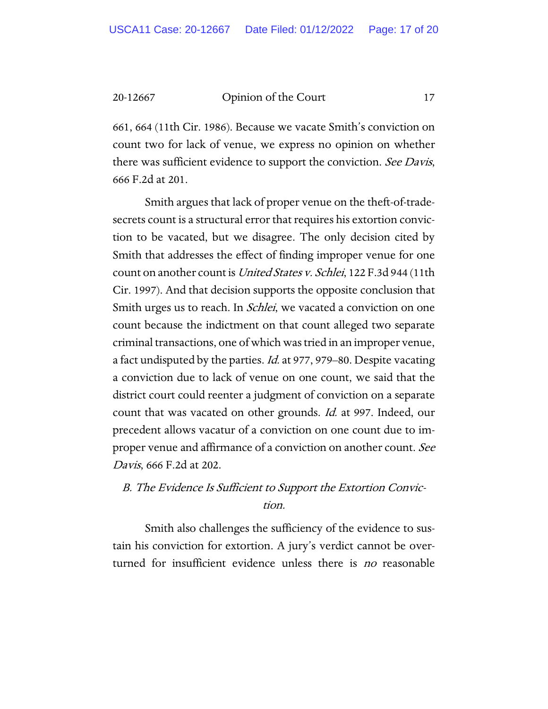661, 664 (11th Cir. 1986). Because we vacate Smith's conviction on count two for lack of venue, we express no opinion on whether there was sufficient evidence to support the conviction. See Davis, 666 F.2d at 201.

Smith argues that lack of proper venue on the theft-of-tradesecrets count is a structural error that requires his extortion conviction to be vacated, but we disagree. The only decision cited by Smith that addresses the effect of finding improper venue for one count on another count is United States v. Schlei, 122 F.3d 944 (11th Cir. 1997). And that decision supports the opposite conclusion that Smith urges us to reach. In *Schlei*, we vacated a conviction on one count because the indictment on that count alleged two separate criminal transactions, one of which was tried in an improper venue, a fact undisputed by the parties. Id. at 977, 979–80. Despite vacating a conviction due to lack of venue on one count, we said that the district court could reenter a judgment of conviction on a separate count that was vacated on other grounds. Id. at 997. Indeed, our precedent allows vacatur of a conviction on one count due to improper venue and affirmance of a conviction on another count. See Davis, 666 F.2d at 202.

## B. The Evidence Is Sufficient to Support the Extortion Conviction.

Smith also challenges the sufficiency of the evidence to sustain his conviction for extortion. A jury's verdict cannot be overturned for insufficient evidence unless there is *no* reasonable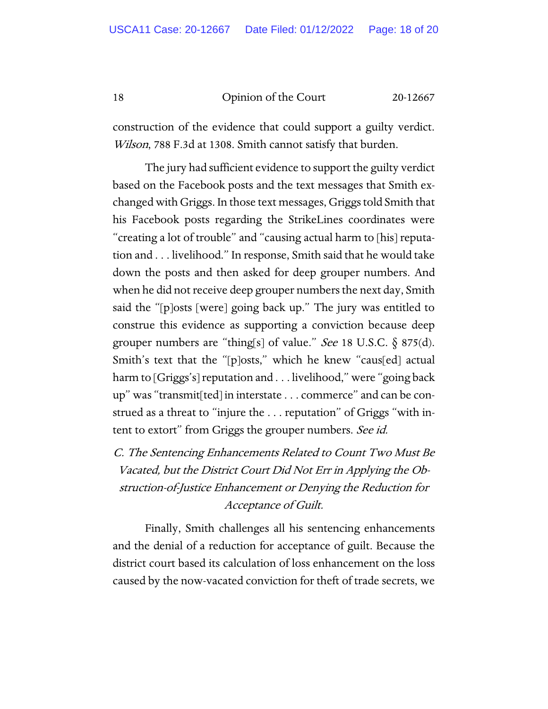construction of the evidence that could support a guilty verdict. Wilson, 788 F.3d at 1308. Smith cannot satisfy that burden.

The jury had sufficient evidence to support the guilty verdict based on the Facebook posts and the text messages that Smith exchanged with Griggs. In those text messages, Griggs told Smith that his Facebook posts regarding the StrikeLines coordinates were "creating a lot of trouble" and "causing actual harm to [his] reputation and . . . livelihood." In response, Smith said that he would take down the posts and then asked for deep grouper numbers. And when he did not receive deep grouper numbers the next day, Smith said the "[p]osts [were] going back up." The jury was entitled to construe this evidence as supporting a conviction because deep grouper numbers are "thing[s] of value." See 18 U.S.C. § 875(d). Smith's text that the "[p]osts," which he knew "caus[ed] actual harm to [Griggs's] reputation and . . . livelihood," were "going back up" was "transmit[ted] in interstate . . . commerce" and can be construed as a threat to "injure the . . . reputation" of Griggs "with intent to extort" from Griggs the grouper numbers. See id.

C. The Sentencing Enhancements Related to Count Two Must Be Vacated, but the District Court Did Not Err in Applying the Obstruction-of-Justice Enhancement or Denying the Reduction for Acceptance of Guilt.

Finally, Smith challenges all his sentencing enhancements and the denial of a reduction for acceptance of guilt. Because the district court based its calculation of loss enhancement on the loss caused by the now-vacated conviction for theft of trade secrets, we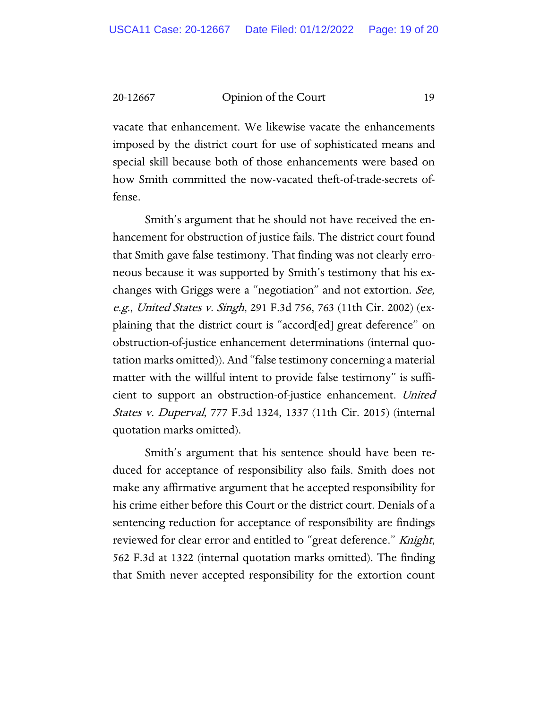vacate that enhancement. We likewise vacate the enhancements imposed by the district court for use of sophisticated means and special skill because both of those enhancements were based on how Smith committed the now-vacated theft-of-trade-secrets offense.

Smith's argument that he should not have received the enhancement for obstruction of justice fails. The district court found that Smith gave false testimony. That finding was not clearly erroneous because it was supported by Smith's testimony that his exchanges with Griggs were a "negotiation" and not extortion. See, e.g., United States v. Singh, 291 F.3d 756, 763 (11th Cir. 2002) (explaining that the district court is "accord[ed] great deference" on obstruction-of-justice enhancement determinations (internal quotation marks omitted)). And "false testimony concerning a material matter with the willful intent to provide false testimony" is sufficient to support an obstruction-of-justice enhancement. United States v. Duperval, 777 F.3d 1324, 1337 (11th Cir. 2015) (internal quotation marks omitted).

Smith's argument that his sentence should have been reduced for acceptance of responsibility also fails. Smith does not make any affirmative argument that he accepted responsibility for his crime either before this Court or the district court. Denials of a sentencing reduction for acceptance of responsibility are findings reviewed for clear error and entitled to "great deference." *Knight*, 562 F.3d at 1322 (internal quotation marks omitted). The finding that Smith never accepted responsibility for the extortion count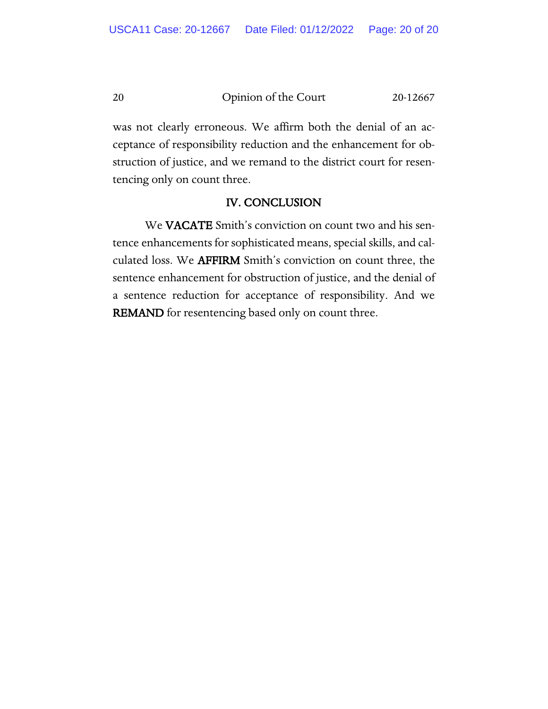was not clearly erroneous. We affirm both the denial of an acceptance of responsibility reduction and the enhancement for obstruction of justice, and we remand to the district court for resentencing only on count three.

#### IV. CONCLUSION

We VACATE Smith's conviction on count two and his sentence enhancements for sophisticated means, special skills, and calculated loss. We AFFIRM Smith's conviction on count three, the sentence enhancement for obstruction of justice, and the denial of a sentence reduction for acceptance of responsibility. And we REMAND for resentencing based only on count three.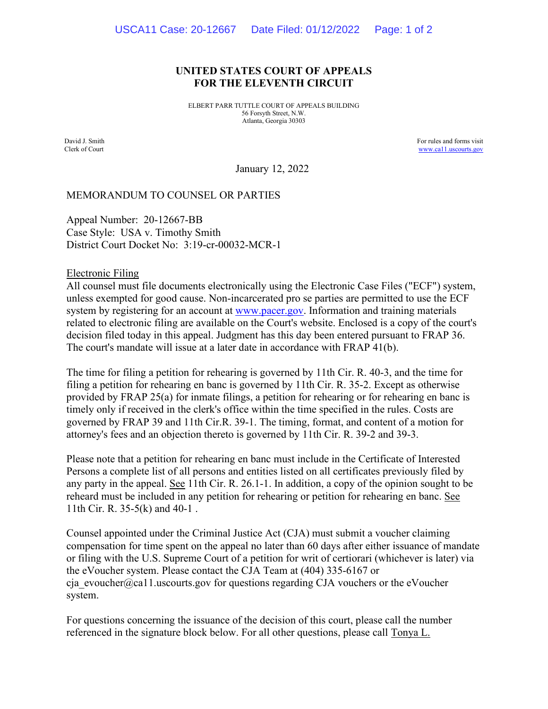#### **UNITED STATES COURT OF APPEALS FOR THE ELEVENTH CIRCUIT**

ELBERT PARR TUTTLE COURT OF APPEALS BUILDING 56 Forsyth Street, N.W. Atlanta, Georgia 30303

David J. Smith Clerk of Court For rules and forms visit [www.ca11.uscourts.gov](http://www.ca11.uscourts.gov/)

January 12, 2022

#### MEMORANDUM TO COUNSEL OR PARTIES

Appeal Number: 20-12667-BB Case Style: USA v. Timothy Smith District Court Docket No: 3:19-cr-00032-MCR-1

Electronic Filing

All counsel must file documents electronically using the Electronic Case Files ("ECF") system, unless exempted for good cause. Non-incarcerated pro se parties are permitted to use the ECF system by registering for an account at [www.pacer.gov.](https://pacer.uscourts.gov/) Information and training materials related to electronic filing are available on the Court's website. Enclosed is a copy of the court's decision filed today in this appeal. Judgment has this day been entered pursuant to FRAP 36. The court's mandate will issue at a later date in accordance with FRAP 41(b).

The time for filing a petition for rehearing is governed by 11th Cir. R. 40-3, and the time for filing a petition for rehearing en banc is governed by 11th Cir. R. 35-2. Except as otherwise provided by FRAP 25(a) for inmate filings, a petition for rehearing or for rehearing en banc is timely only if received in the clerk's office within the time specified in the rules. Costs are governed by FRAP 39 and 11th Cir.R. 39-1. The timing, format, and content of a motion for attorney's fees and an objection thereto is governed by 11th Cir. R. 39-2 and 39-3.

Please note that a petition for rehearing en banc must include in the Certificate of Interested Persons a complete list of all persons and entities listed on all certificates previously filed by any party in the appeal. See 11th Cir. R. 26.1-1. In addition, a copy of the opinion sought to be reheard must be included in any petition for rehearing or petition for rehearing en banc. See 11th Cir. R. 35-5(k) and 40-1 .

Counsel appointed under the Criminal Justice Act (CJA) must submit a voucher claiming compensation for time spent on the appeal no later than 60 days after either issuance of mandate or filing with the U.S. Supreme Court of a petition for writ of certiorari (whichever is later) via the eVoucher system. Please contact the CJA Team at (404) 335-6167 or cja\_evoucher@ca11.uscourts.gov for questions regarding CJA vouchers or the eVoucher system.

For questions concerning the issuance of the decision of this court, please call the number referenced in the signature block below. For all other questions, please call Tonya L.